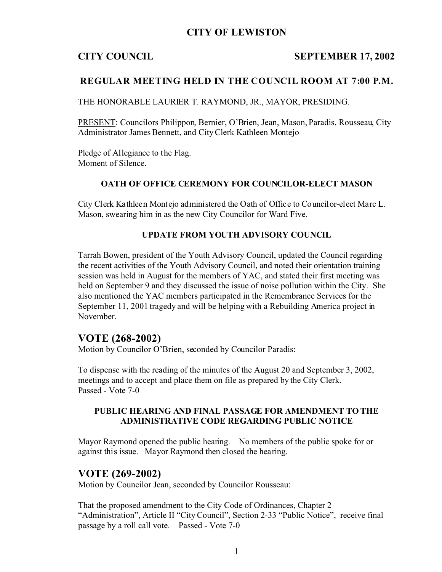# **CITY OF LEWISTON**

## **CITY COUNCIL SEPTEMBER 17, 2002**

## **REGULAR MEETING HELD IN THE COUNCIL ROOM AT 7:00 P.M.**

THE HONORABLE LAURIER T. RAYMOND, JR., MAYOR, PRESIDING.

PRESENT: Councilors Philippon, Bernier, O'Brien, Jean, Mason, Paradis, Rousseau, City Administrator James Bennett, and City Clerk Kathleen Montejo

Pledge of Allegiance to the Flag. Moment of Silence.

### **OATH OF OFFICE CEREMONY FOR COUNCILOR-ELECT MASON**

City Clerk Kathleen Montejo administered the Oath of Office to Councilor-elect Marc L. Mason, swearing him in as the new City Councilor for Ward Five.

## **UPDATE FROM YOUTH ADVISORY COUNCIL**

Tarrah Bowen, president of the Youth Advisory Council, updated the Council regarding the recent activities of the Youth Advisory Council, and noted their orientation training session was held in August for the members of YAC, and stated their first meeting was held on September 9 and they discussed the issue of noise pollution within the City. She also mentioned the YAC members participated in the Remembrance Services for the September 11, 2001 tragedy and will be helping with a Rebuilding America project in November.

# **VOTE (268-2002)**

Motion by Councilor O'Brien, seconded by Councilor Paradis:

To dispense with the reading of the minutes of the August 20 and September 3, 2002, meetings and to accept and place them on file as prepared by the City Clerk. Passed - Vote 7-0

## **PUBLIC HEARING AND FINAL PASSAGE FOR AMENDMENT TO THE ADMINISTRATIVE CODE REGARDING PUBLIC NOTICE**

Mayor Raymond opened the public hearing. No members of the public spoke for or against this issue. Mayor Raymond then closed the hearing.

# **VOTE (269-2002)**

Motion by Councilor Jean, seconded by Councilor Rousseau:

That the proposed amendment to the City Code of Ordinances, Chapter 2 "Administration", Article II "City Council", Section 2-33 "Public Notice", receive final passage by a roll call vote. Passed - Vote 7-0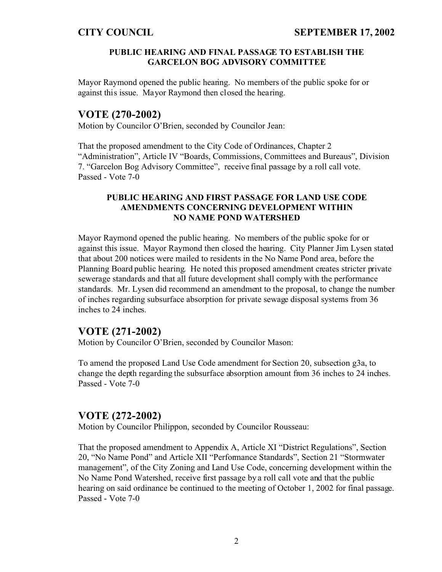### **PUBLIC HEARING AND FINAL PASSAGE TO ESTABLISH THE GARCELON BOG ADVISORY COMMITTEE**

Mayor Raymond opened the public hearing. No members of the public spoke for or against this issue. Mayor Raymond then closed the hearing.

# **VOTE (270-2002)**

Motion by Councilor O'Brien, seconded by Councilor Jean:

That the proposed amendment to the City Code of Ordinances, Chapter 2 "Administration", Article IV "Boards, Commissions, Committees and Bureaus", Division 7. "Garcelon Bog Advisory Committee", receive final passage by a roll call vote. Passed - Vote 7-0

### **PUBLIC HEARING AND FIRST PASSAGE FOR LAND USE CODE AMENDMENTS CONCERNING DEVELOPMENT WITHIN NO NAME POND WATERSHED**

Mayor Raymond opened the public hearing. No members of the public spoke for or against this issue. Mayor Raymond then closed the hearing. City Planner Jim Lysen stated that about 200 notices were mailed to residents in the No Name Pond area, before the Planning Board public hearing. He noted this proposed amendment creates stricter private sewerage standards and that all future development shall comply with the performance standards. Mr. Lysen did recommend an amendment to the proposal, to change the number of inches regarding subsurface absorption for private sewage disposal systems from 36 inches to 24 inches.

# **VOTE (271-2002)**

Motion by Councilor O'Brien, seconded by Councilor Mason:

To amend the proposed Land Use Code amendment for Section 20, subsection g3a, to change the depth regarding the subsurface absorption amount from 36 inches to 24 inches. Passed - Vote 7-0

# **VOTE (272-2002)**

Motion by Councilor Philippon, seconded by Councilor Rousseau:

That the proposed amendment to Appendix A, Article XI "District Regulations", Section 20, "No Name Pond" and Article XII "Performance Standards", Section 21 "Stormwater management", of the City Zoning and Land Use Code, concerning development within the No Name Pond Watershed, receive first passage by a roll call vote and that the public hearing on said ordinance be continued to the meeting of October 1, 2002 for final passage. Passed - Vote 7-0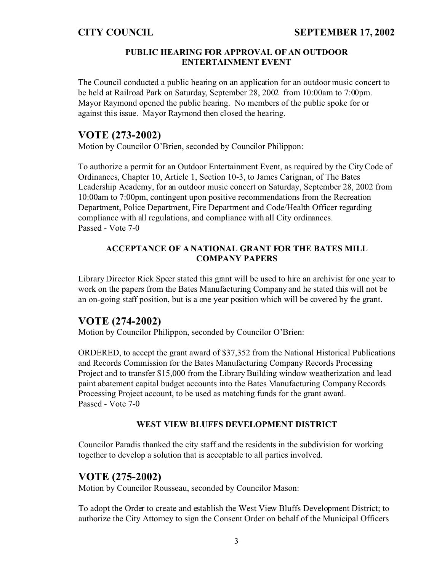### **PUBLIC HEARING FOR APPROVAL OF AN OUTDOOR ENTERTAINMENT EVENT**

The Council conducted a public hearing on an application for an outdoor music concert to be held at Railroad Park on Saturday, September 28, 2002 from 10:00am to 7:00pm. Mayor Raymond opened the public hearing. No members of the public spoke for or against this issue. Mayor Raymond then closed the hearing.

## **VOTE (273-2002)**

Motion by Councilor O'Brien, seconded by Councilor Philippon:

To authorize a permit for an Outdoor Entertainment Event, as required by the City Code of Ordinances, Chapter 10, Article 1, Section 10-3, to James Carignan, of The Bates Leadership Academy, for an outdoor music concert on Saturday, September 28, 2002 from 10:00am to 7:00pm, contingent upon positive recommendations from the Recreation Department, Police Department, Fire Department and Code/Health Officer regarding compliance with all regulations, and compliance with all City ordinances. Passed - Vote 7-0

## **ACCEPTANCE OF A NATIONAL GRANT FOR THE BATES MILL COMPANY PAPERS**

Library Director Rick Speer stated this grant will be used to hire an archivist for one year to work on the papers from the Bates Manufacturing Company and he stated this will not be an on-going staff position, but is a one year position which will be covered by the grant.

# **VOTE (274-2002)**

Motion by Councilor Philippon, seconded by Councilor O'Brien:

ORDERED, to accept the grant award of \$37,352 from the National Historical Publications and Records Commission for the Bates Manufacturing Company Records Processing Project and to transfer \$15,000 from the Library Building window weatherization and lead paint abatement capital budget accounts into the Bates Manufacturing Company Records Processing Project account, to be used as matching funds for the grant award. Passed - Vote 7-0

### **WEST VIEW BLUFFS DEVELOPMENT DISTRICT**

Councilor Paradis thanked the city staff and the residents in the subdivision for working together to develop a solution that is acceptable to all parties involved.

## **VOTE (275-2002)**

Motion by Councilor Rousseau, seconded by Councilor Mason:

To adopt the Order to create and establish the West View Bluffs Development District; to authorize the City Attorney to sign the Consent Order on behalf of the Municipal Officers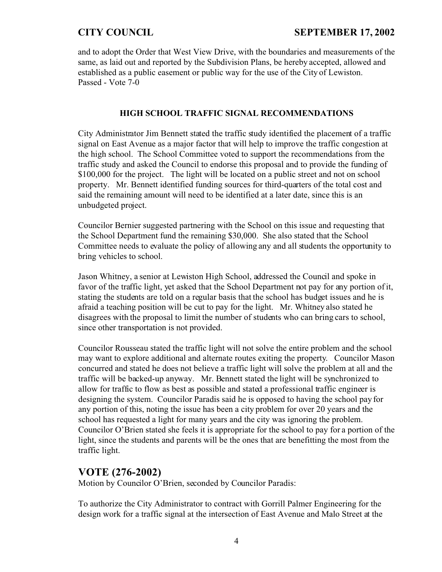and to adopt the Order that West View Drive, with the boundaries and measurements of the same, as laid out and reported by the Subdivision Plans, be hereby accepted, allowed and established as a public easement or public way for the use of the City of Lewiston. Passed - Vote 7-0

## **HIGH SCHOOL TRAFFIC SIGNAL RECOMMENDATIONS**

City Administrator Jim Bennett stated the traffic study identified the placement of a traffic signal on East Avenue as a major factor that will help to improve the traffic congestion at the high school. The School Committee voted to support the recommendations from the traffic study and asked the Council to endorse this proposal and to provide the funding of \$100,000 for the project. The light will be located on a public street and not on school property. Mr. Bennett identified funding sources for third-quarters of the total cost and said the remaining amount will need to be identified at a later date, since this is an unbudgeted project.

Councilor Bernier suggested partnering with the School on this issue and requesting that the School Department fund the remaining \$30,000. She also stated that the School Committee needs to evaluate the policy of allowing any and all students the opportunity to bring vehicles to school.

Jason Whitney, a senior at Lewiston High School, addressed the Council and spoke in favor of the traffic light, yet asked that the School Department not pay for any portion of it, stating the students are told on a regular basis that the school has budget issues and he is afraid a teaching position will be cut to pay for the light. Mr. Whitney also stated he disagrees with the proposal to limit the number of students who can bring cars to school, since other transportation is not provided.

Councilor Rousseau stated the traffic light will not solve the entire problem and the school may want to explore additional and alternate routes exiting the property. Councilor Mason concurred and stated he does not believe a traffic light will solve the problem at all and the traffic will be backed-up anyway. Mr. Bennett stated the light will be synchronized to allow for traffic to flow as best as possible and stated a professional traffic engineer is designing the system. Councilor Paradis said he is opposed to having the school pay for any portion of this, noting the issue has been a city problem for over 20 years and the school has requested a light for many years and the city was ignoring the problem. Councilor O'Brien stated she feels it is appropriate for the school to pay for a portion of the light, since the students and parents will be the ones that are benefitting the most from the traffic light.

# **VOTE (276-2002)**

Motion by Councilor O'Brien, seconded by Councilor Paradis:

To authorize the City Administrator to contract with Gorrill Palmer Engineering for the design work for a traffic signal at the intersection of East Avenue and Malo Street at the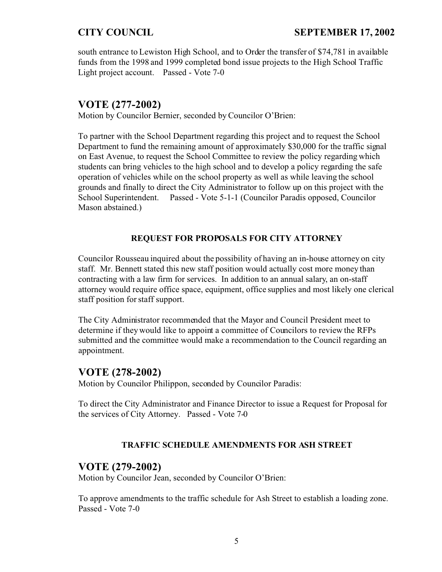# **CITY COUNCIL SEPTEMBER 17, 2002**

south entrance to Lewiston High School, and to Order the transfer of \$74,781 in available funds from the 1998 and 1999 completed bond issue projects to the High School Traffic Light project account. Passed - Vote 7-0

# **VOTE (277-2002)**

Motion by Councilor Bernier, seconded by Councilor O'Brien:

To partner with the School Department regarding this project and to request the School Department to fund the remaining amount of approximately \$30,000 for the traffic signal on East Avenue, to request the School Committee to review the policy regarding which students can bring vehicles to the high school and to develop a policy regarding the safe operation of vehicles while on the school property as well as while leaving the school grounds and finally to direct the City Administrator to follow up on this project with the School Superintendent. Passed - Vote 5-1-1 (Councilor Paradis opposed, Councilor Mason abstained.)

## **REQUEST FOR PROPOSALS FOR CITY ATTORNEY**

Councilor Rousseau inquired about the possibility of having an in-house attorney on city staff. Mr. Bennett stated this new staff position would actually cost more money than contracting with a law firm for services. In addition to an annual salary, an on-staff attorney would require office space, equipment, office supplies and most likely one clerical staff position for staff support.

The City Administrator recommended that the Mayor and Council President meet to determine if they would like to appoint a committee of Councilors to review the RFPs submitted and the committee would make a recommendation to the Council regarding an appointment.

# **VOTE (278-2002)**

Motion by Councilor Philippon, seconded by Councilor Paradis:

To direct the City Administrator and Finance Director to issue a Request for Proposal for the services of City Attorney. Passed - Vote 7-0

## **TRAFFIC SCHEDULE AMENDMENTS FOR ASH STREET**

# **VOTE (279-2002)**

Motion by Councilor Jean, seconded by Councilor O'Brien:

To approve amendments to the traffic schedule for Ash Street to establish a loading zone. Passed - Vote 7-0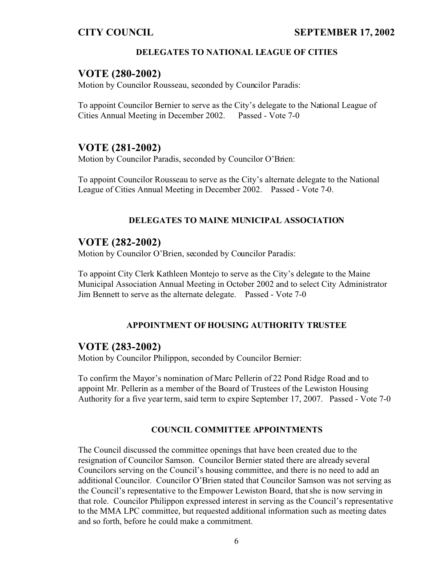## **DELEGATES TO NATIONAL LEAGUE OF CITIES**

# **VOTE (280-2002)**

Motion by Councilor Rousseau, seconded by Councilor Paradis:

To appoint Councilor Bernier to serve as the City's delegate to the National League of Cities Annual Meeting in December 2002. Passed - Vote 7-0

# **VOTE (281-2002)**

Motion by Councilor Paradis, seconded by Councilor O'Brien:

To appoint Councilor Rousseau to serve as the City's alternate delegate to the National League of Cities Annual Meeting in December 2002. Passed - Vote 7-0.

## **DELEGATES TO MAINE MUNICIPAL ASSOCIATION**

## **VOTE (282-2002)**

Motion by Councilor O'Brien, seconded by Councilor Paradis:

To appoint City Clerk Kathleen Montejo to serve as the City's delegate to the Maine Municipal Association Annual Meeting in October 2002 and to select City Administrator Jim Bennett to serve as the alternate delegate. Passed - Vote 7-0

### **APPOINTMENT OF HOUSING AUTHORITY TRUSTEE**

## **VOTE (283-2002)**

Motion by Councilor Philippon, seconded by Councilor Bernier:

To confirm the Mayor's nomination of Marc Pellerin of 22 Pond Ridge Road and to appoint Mr. Pellerin as a member of the Board of Trustees of the Lewiston Housing Authority for a five year term, said term to expire September 17, 2007. Passed - Vote 7-0

### **COUNCIL COMMITTEE APPOINTMENTS**

The Council discussed the committee openings that have been created due to the resignation of Councilor Samson. Councilor Bernier stated there are already several Councilors serving on the Council's housing committee, and there is no need to add an additional Councilor. Councilor O'Brien stated that Councilor Samson was not serving as the Council's representative to the Empower Lewiston Board, that she is now serving in that role. Councilor Philippon expressed interest in serving as the Council's representative to the MMA LPC committee, but requested additional information such as meeting dates and so forth, before he could make a commitment.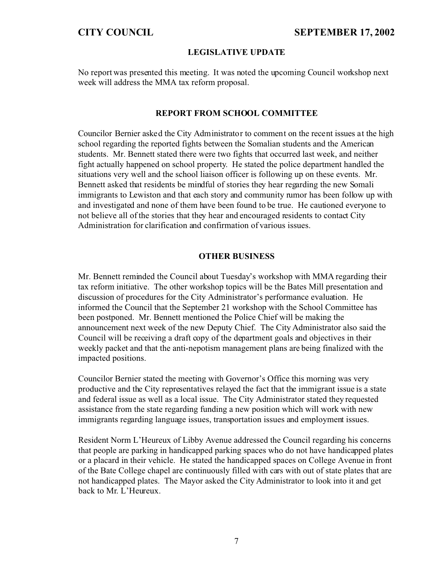### **LEGISLATIVE UPDATE**

No report was presented this meeting. It was noted the upcoming Council workshop next week will address the MMA tax reform proposal.

### **REPORT FROM SCHOOL COMMITTEE**

Councilor Bernier asked the City Administrator to comment on the recent issues at the high school regarding the reported fights between the Somalian students and the American students. Mr. Bennett stated there were two fights that occurred last week, and neither fight actually happened on school property. He stated the police department handled the situations very well and the school liaison officer is following up on these events. Mr. Bennett asked that residents be mindful of stories they hear regarding the new Somali immigrants to Lewiston and that each story and community rumor has been follow up with and investigated and none of them have been found to be true. He cautioned everyone to not believe all of the stories that they hear and encouraged residents to contact City Administration for clarification and confirmation of various issues.

### **OTHER BUSINESS**

Mr. Bennett reminded the Council about Tuesday's workshop with MMA regarding their tax reform initiative. The other workshop topics will be the Bates Mill presentation and discussion of procedures for the City Administrator's performance evaluation. He informed the Council that the September 21 workshop with the School Committee has been postponed. Mr. Bennett mentioned the Police Chief will be making the announcement next week of the new Deputy Chief. The City Administrator also said the Council will be receiving a draft copy of the department goals and objectives in their weekly packet and that the anti-nepotism management plans are being finalized with the impacted positions.

Councilor Bernier stated the meeting with Governor's Office this morning was very productive and the City representatives relayed the fact that the immigrant issue is a state and federal issue as well as a local issue. The City Administrator stated they requested assistance from the state regarding funding a new position which will work with new immigrants regarding language issues, transportation issues and employment issues.

Resident Norm L'Heureux of Libby Avenue addressed the Council regarding his concerns that people are parking in handicapped parking spaces who do not have handicapped plates or a placard in their vehicle. He stated the handicapped spaces on College Avenue in front of the Bate College chapel are continuously filled with cars with out of state plates that are not handicapped plates. The Mayor asked the City Administrator to look into it and get back to Mr. L'Heureux.